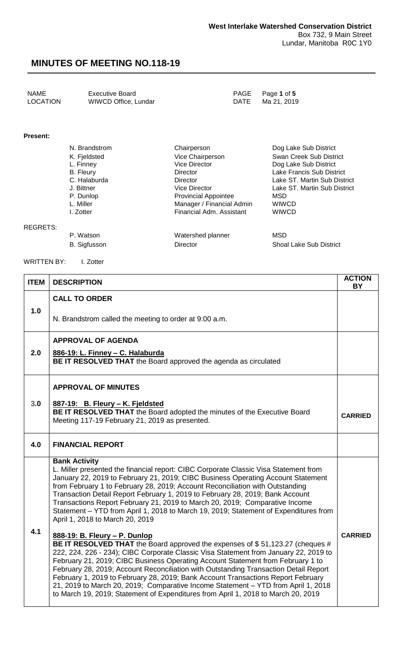| NAME     | Executive Board      | PAGE Page 1 of 5 |
|----------|----------------------|------------------|
| LOCATION | WIWCD Office, Lundar | DATE Ma 21, 2019 |

#### **Present:**

| N. Brandstrom    | Chairperson                 | Dog Lake Sub District        |
|------------------|-----------------------------|------------------------------|
| K. Fjeldsted     | Vice Chairperson            | Swan Creek Sub District      |
| L. Finney        | <b>Vice Director</b>        | Dog Lake Sub District        |
| <b>B.</b> Fleury | Director                    | Lake Francis Sub District    |
| C. Halaburda     | <b>Director</b>             | Lake ST. Martin Sub District |
| J. Bittner       | Vice Director               | Lake ST. Martin Sub District |
| P. Dunlop        | <b>Provincial Appointee</b> | MSD                          |
| L. Miller        | Manager / Financial Admin   | <b>WIWCD</b>                 |
| I. Zotter        | Financial Adm. Assistant    | <b>WIWCD</b>                 |
|                  |                             |                              |

#### REGRETS:

P. Watson MSD Watershed planner MSD B. Sigfusson **Director** Director Shoal Lake Sub District

WRITTEN BY: I. Zotter

| <b>ITEM</b> | <b>DESCRIPTION</b>                                                                                                                                                                                                                                                                                                                                                                                                                                                                                                                                                                                             | <b>ACTION</b><br><b>BY</b> |
|-------------|----------------------------------------------------------------------------------------------------------------------------------------------------------------------------------------------------------------------------------------------------------------------------------------------------------------------------------------------------------------------------------------------------------------------------------------------------------------------------------------------------------------------------------------------------------------------------------------------------------------|----------------------------|
| 1.0         | <b>CALL TO ORDER</b><br>N. Brandstrom called the meeting to order at 9:00 a.m.                                                                                                                                                                                                                                                                                                                                                                                                                                                                                                                                 |                            |
| 2.0         | <b>APPROVAL OF AGENDA</b><br>886-19: L. Finney - C. Halaburda<br>BE IT RESOLVED THAT the Board approved the agenda as circulated                                                                                                                                                                                                                                                                                                                                                                                                                                                                               |                            |
| 3.0         | <b>APPROVAL OF MINUTES</b><br>887-19: B. Fleury - K. Fjeldsted<br>BE IT RESOLVED THAT the Board adopted the minutes of the Executive Board<br>Meeting 117-19 February 21, 2019 as presented.                                                                                                                                                                                                                                                                                                                                                                                                                   | <b>CARRIED</b>             |
| 4.0         | <b>FINANCIAL REPORT</b>                                                                                                                                                                                                                                                                                                                                                                                                                                                                                                                                                                                        |                            |
| 4.1         | <b>Bank Activity</b><br>L. Miller presented the financial report: CIBC Corporate Classic Visa Statement from<br>January 22, 2019 to February 21, 2019; CIBC Business Operating Account Statement<br>from February 1 to February 28, 2019; Account Reconciliation with Outstanding<br>Transaction Detail Report February 1, 2019 to February 28, 2019; Bank Account<br>Transactions Report February 21, 2019 to March 20, 2019; Comparative Income<br>Statement - YTD from April 1, 2018 to March 19, 2019; Statement of Expenditures from<br>April 1, 2018 to March 20, 2019<br>888-19: B. Fleury - P. Dunlop  | <b>CARRIED</b>             |
|             | BE IT RESOLVED THAT the Board approved the expenses of \$51,123.27 (cheques #<br>222, 224, 226 - 234); CIBC Corporate Classic Visa Statement from January 22, 2019 to<br>February 21, 2019; CIBC Business Operating Account Statement from February 1 to<br>February 28, 2019; Account Reconciliation with Outstanding Transaction Detail Report<br>February 1, 2019 to February 28, 2019; Bank Account Transactions Report February<br>21, 2019 to March 20, 2019; Comparative Income Statement - YTD from April 1, 2018<br>to March 19, 2019; Statement of Expenditures from April 1, 2018 to March 20, 2019 |                            |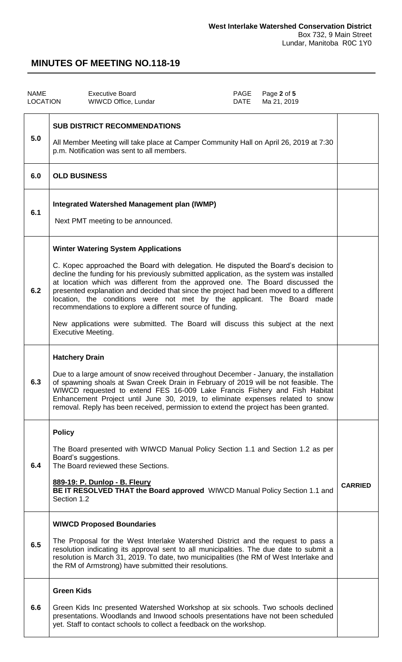| <b>NAME</b><br><b>LOCATION</b> |                              | <b>Executive Board</b><br>WIWCD Office, Lundar                                                                                                                                                                                                                                                                                                                                                                                                                                                                                                                                                                                                                    | PAGE<br>DATE | Page 2 of 5<br>Ma 21, 2019 |                |
|--------------------------------|------------------------------|-------------------------------------------------------------------------------------------------------------------------------------------------------------------------------------------------------------------------------------------------------------------------------------------------------------------------------------------------------------------------------------------------------------------------------------------------------------------------------------------------------------------------------------------------------------------------------------------------------------------------------------------------------------------|--------------|----------------------------|----------------|
| 5.0                            |                              | <b>SUB DISTRICT RECOMMENDATIONS</b><br>All Member Meeting will take place at Camper Community Hall on April 26, 2019 at 7:30<br>p.m. Notification was sent to all members.                                                                                                                                                                                                                                                                                                                                                                                                                                                                                        |              |                            |                |
| 6.0                            | <b>OLD BUSINESS</b>          |                                                                                                                                                                                                                                                                                                                                                                                                                                                                                                                                                                                                                                                                   |              |                            |                |
| 6.1                            |                              | <b>Integrated Watershed Management plan (IWMP)</b><br>Next PMT meeting to be announced.                                                                                                                                                                                                                                                                                                                                                                                                                                                                                                                                                                           |              |                            |                |
| 6.2                            |                              | <b>Winter Watering System Applications</b><br>C. Kopec approached the Board with delegation. He disputed the Board's decision to<br>decline the funding for his previously submitted application, as the system was installed<br>at location which was different from the approved one. The Board discussed the<br>presented explanation and decided that since the project had been moved to a different<br>location, the conditions were not met by the applicant. The Board made<br>recommendations to explore a different source of funding.<br>New applications were submitted. The Board will discuss this subject at the next<br><b>Executive Meeting.</b> |              |                            |                |
| 6.3                            | <b>Hatchery Drain</b>        | Due to a large amount of snow received throughout December - January, the installation<br>of spawning shoals at Swan Creek Drain in February of 2019 will be not feasible. The<br>WIWCD requested to extend FES 16-009 Lake Francis Fishery and Fish Habitat<br>Enhancement Project until June 30, 2019, to eliminate expenses related to snow<br>removal. Reply has been received, permission to extend the project has been granted.                                                                                                                                                                                                                            |              |                            |                |
| 6.4                            | <b>Policy</b><br>Section 1.2 | The Board presented with WIWCD Manual Policy Section 1.1 and Section 1.2 as per<br>Board's suggestions.<br>The Board reviewed these Sections.<br>889-19: P. Dunlop - B. Fleury<br>BE IT RESOLVED THAT the Board approved WIWCD Manual Policy Section 1.1 and                                                                                                                                                                                                                                                                                                                                                                                                      |              |                            | <b>CARRIED</b> |
| 6.5                            |                              | <b>WIWCD Proposed Boundaries</b><br>The Proposal for the West Interlake Watershed District and the request to pass a<br>resolution indicating its approval sent to all municipalities. The due date to submit a<br>resolution is March 31, 2019. To date, two municipalities (the RM of West Interlake and<br>the RM of Armstrong) have submitted their resolutions.                                                                                                                                                                                                                                                                                              |              |                            |                |
| 6.6                            | <b>Green Kids</b>            | Green Kids Inc presented Watershed Workshop at six schools. Two schools declined<br>presentations. Woodlands and Inwood schools presentations have not been scheduled<br>yet. Staff to contact schools to collect a feedback on the workshop.                                                                                                                                                                                                                                                                                                                                                                                                                     |              |                            |                |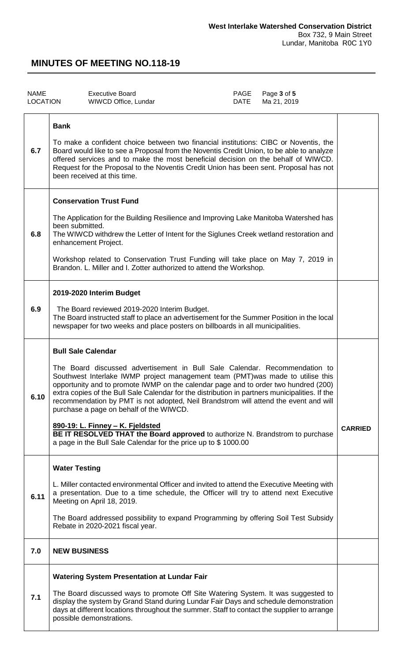| <b>NAME</b><br><b>LOCATION</b> | <b>Executive Board</b><br>WIWCD Office, Lundar                                                                                                                                                                                                                                                                                                                                                                                                                                                                                                                                                                                                                                                                | PAGE<br><b>DATE</b> | Page 3 of 5<br>Ma 21, 2019 |                |
|--------------------------------|---------------------------------------------------------------------------------------------------------------------------------------------------------------------------------------------------------------------------------------------------------------------------------------------------------------------------------------------------------------------------------------------------------------------------------------------------------------------------------------------------------------------------------------------------------------------------------------------------------------------------------------------------------------------------------------------------------------|---------------------|----------------------------|----------------|
| 6.7<br>6.8                     | <b>Bank</b><br>To make a confident choice between two financial institutions: CIBC or Noventis, the<br>Board would like to see a Proposal from the Noventis Credit Union, to be able to analyze<br>offered services and to make the most beneficial decision on the behalf of WIWCD.<br>Request for the Proposal to the Noventis Credit Union has been sent. Proposal has not<br>been received at this time.<br><b>Conservation Trust Fund</b><br>The Application for the Building Resilience and Improving Lake Manitoba Watershed has<br>been submitted.<br>The WIWCD withdrew the Letter of Intent for the Siglunes Creek wetland restoration and<br>enhancement Project.                                  |                     |                            |                |
|                                | Workshop related to Conservation Trust Funding will take place on May 7, 2019 in<br>Brandon. L. Miller and I. Zotter authorized to attend the Workshop.                                                                                                                                                                                                                                                                                                                                                                                                                                                                                                                                                       |                     |                            |                |
| 6.9                            | 2019-2020 Interim Budget<br>The Board reviewed 2019-2020 Interim Budget.<br>The Board instructed staff to place an advertisement for the Summer Position in the local<br>newspaper for two weeks and place posters on billboards in all municipalities.                                                                                                                                                                                                                                                                                                                                                                                                                                                       |                     |                            |                |
| 6.10                           | <b>Bull Sale Calendar</b><br>The Board discussed advertisement in Bull Sale Calendar. Recommendation to<br>Southwest Interlake IWMP project management team (PMT) was made to utilise this<br>opportunity and to promote IWMP on the calendar page and to order two hundred (200)<br>extra copies of the Bull Sale Calendar for the distribution in partners municipalities. If the<br>recommendation by PMT is not adopted, Neil Brandstrom will attend the event and will<br>purchase a page on behalf of the WIWCD.<br>890-19: L. Finney - K. Fjeldsted<br>BE IT RESOLVED THAT the Board approved to authorize N. Brandstrom to purchase<br>a page in the Bull Sale Calendar for the price up to \$1000.00 |                     |                            | <b>CARRIED</b> |
| 6.11                           | <b>Water Testing</b><br>L. Miller contacted environmental Officer and invited to attend the Executive Meeting with<br>a presentation. Due to a time schedule, the Officer will try to attend next Executive<br>Meeting on April 18, 2019.<br>The Board addressed possibility to expand Programming by offering Soil Test Subsidy<br>Rebate in 2020-2021 fiscal year.                                                                                                                                                                                                                                                                                                                                          |                     |                            |                |
| 7.0                            | <b>NEW BUSINESS</b>                                                                                                                                                                                                                                                                                                                                                                                                                                                                                                                                                                                                                                                                                           |                     |                            |                |
| 7.1                            | <b>Watering System Presentation at Lundar Fair</b><br>The Board discussed ways to promote Off Site Watering System. It was suggested to<br>display the system by Grand Stand during Lundar Fair Days and schedule demonstration<br>days at different locations throughout the summer. Staff to contact the supplier to arrange<br>possible demonstrations.                                                                                                                                                                                                                                                                                                                                                    |                     |                            |                |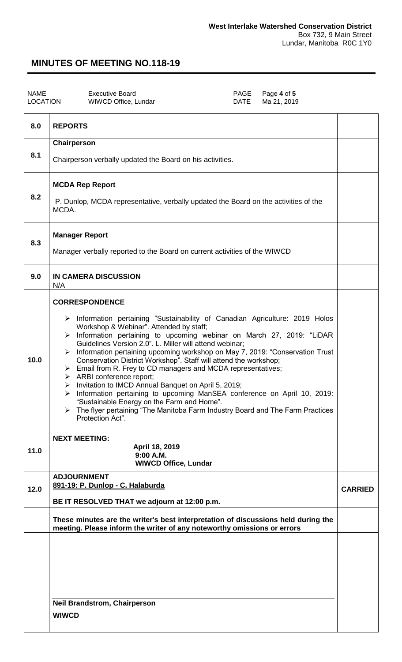| NAME     | <b>Executive Board</b> |
|----------|------------------------|
| LOCATION | WIWCD Office, Lundar   |

**PAGE** Page **4** of **5**<br>DATE Ma 21, 2019 Ma 21, 2019

| 8.0  | <b>REPORTS</b>                                                                                                                                                                                                                     |                |
|------|------------------------------------------------------------------------------------------------------------------------------------------------------------------------------------------------------------------------------------|----------------|
| 8.1  | Chairperson                                                                                                                                                                                                                        |                |
|      | Chairperson verbally updated the Board on his activities.                                                                                                                                                                          |                |
|      | <b>MCDA Rep Report</b>                                                                                                                                                                                                             |                |
| 8.2  | P. Dunlop, MCDA representative, verbally updated the Board on the activities of the<br>MCDA.                                                                                                                                       |                |
| 8.3  | <b>Manager Report</b>                                                                                                                                                                                                              |                |
|      | Manager verbally reported to the Board on current activities of the WIWCD                                                                                                                                                          |                |
| 9.0  | <b>IN CAMERA DISCUSSION</b><br>N/A                                                                                                                                                                                                 |                |
|      | <b>CORRESPONDENCE</b>                                                                                                                                                                                                              |                |
|      | > Information pertaining "Sustainability of Canadian Agriculture: 2019 Holos<br>Workshop & Webinar". Attended by staff;                                                                                                            |                |
|      | > Information pertaining to upcoming webinar on March 27, 2019: "LiDAR<br>Guidelines Version 2.0". L. Miller will attend webinar;                                                                                                  |                |
| 10.0 | > Information pertaining upcoming workshop on May 7, 2019: "Conservation Trust<br>Conservation District Workshop". Staff will attend the workshop;<br>$\triangleright$ Email from R. Frey to CD managers and MCDA representatives; |                |
|      | $\triangleright$ ARBI conference report;<br>> Invitation to IMCD Annual Banquet on April 5, 2019;                                                                                                                                  |                |
|      | Information pertaining to upcoming ManSEA conference on April 10, 2019:<br>➤<br>"Sustainable Energy on the Farm and Home".                                                                                                         |                |
|      | The flyer pertaining "The Manitoba Farm Industry Board and The Farm Practices<br>Protection Act".                                                                                                                                  |                |
|      | <b>NEXT MEETING:</b><br>April 18, 2019                                                                                                                                                                                             |                |
| 11.0 | $9:00$ A.M.<br><b>WIWCD Office, Lundar</b>                                                                                                                                                                                         |                |
|      | <b>ADJOURNMENT</b><br>891-19: P. Dunlop - C. Halaburda                                                                                                                                                                             |                |
| 12.0 | BE IT RESOLVED THAT we adjourn at 12:00 p.m.                                                                                                                                                                                       | <b>CARRIED</b> |
|      | These minutes are the writer's best interpretation of discussions held during the<br>meeting. Please inform the writer of any noteworthy omissions or errors                                                                       |                |
|      |                                                                                                                                                                                                                                    |                |
|      |                                                                                                                                                                                                                                    |                |
|      |                                                                                                                                                                                                                                    |                |
|      | <b>Neil Brandstrom, Chairperson</b>                                                                                                                                                                                                |                |
|      | <b>WIWCD</b>                                                                                                                                                                                                                       |                |
|      |                                                                                                                                                                                                                                    |                |